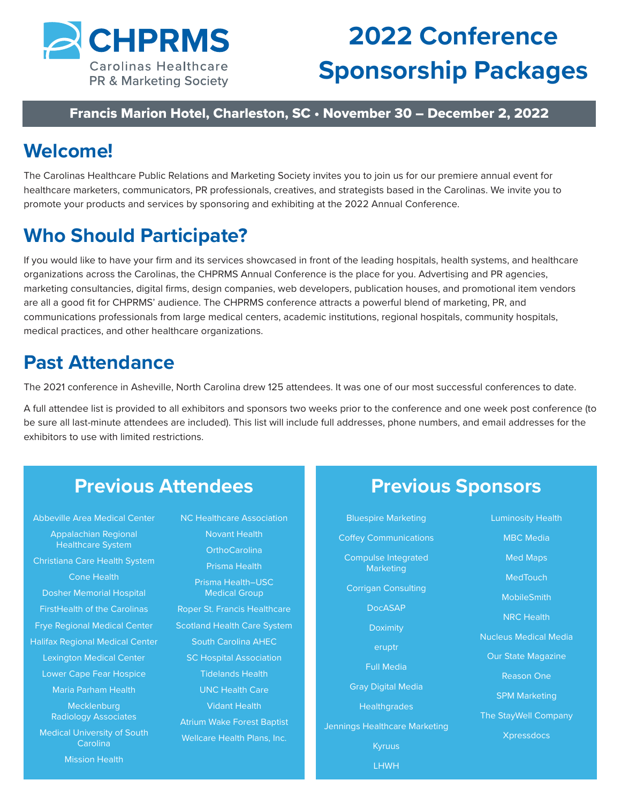

## **2022 Conference Sponsorship Packages**

### Francis Marion Hotel, Charleston, SC • November 30 – December 2, 2022

## **Welcome!**

The Carolinas Healthcare Public Relations and Marketing Society invites you to join us for our premiere annual event for healthcare marketers, communicators, PR professionals, creatives, and strategists based in the Carolinas. We invite you to promote your products and services by sponsoring and exhibiting at the 2022 Annual Conference.

## **Who Should Participate?**

If you would like to have your firm and its services showcased in front of the leading hospitals, health systems, and healthcare organizations across the Carolinas, the CHPRMS Annual Conference is the place for you. Advertising and PR agencies, marketing consultancies, digital firms, design companies, web developers, publication houses, and promotional item vendors are all a good fit for CHPRMS' audience. The CHPRMS conference attracts a powerful blend of marketing, PR, and communications professionals from large medical centers, academic institutions, regional hospitals, community hospitals, medical practices, and other healthcare organizations.

## **Past Attendance**

The 2021 conference in Asheville, North Carolina drew 125 attendees. It was one of our most successful conferences to date.

A full attendee list is provided to all exhibitors and sponsors two weeks prior to the conference and one week post conference (to be sure all last-minute attendees are included). This list will include full addresses, phone numbers, and email addresses for the exhibitors to use with limited restrictions.

## **Previous Attendees**

Abbeville Area Medical Center Appalachian Regional Healthcare System Christiana Care Health System Cone Health Dosher Memorial Hospital FirstHealth of the Carolinas Frye Regional Medical Center Halifax Regional Medical Center Lexington Medical Center Lower Cape Fear Hospice Maria Parham Health Mecklenburg Radiology Associates Medical University of South Carolina Mission Health

NC Healthcare Association Novant Health **OrthoCarolina** Prisma Health Prisma Health–USC Medical Group Roper St. Francis Healthcare Scotland Health Care System South Carolina AHEC SC Hospital Association Tidelands Health UNC Health Care Vidant Health Atrium Wake Forest Baptist Wellcare Health Plans, Inc.

### **Previous Sponsors**

Bluespire Marketing Coffey Communications Compulse Integrated **Marketing** Corrigan Consulting DocASAP Doximity eruptr Full Media Gray Digital Media **Healthgrades** Jennings Healthcare Marketing Kyruus

LHWH

Luminosity Health MBC Media Med Maps **MedTouch** MobileSmith NRC Health Nucleus Medical Media Our State Magazine Reason One SPM Marketing The StayWell Company Xpressdocs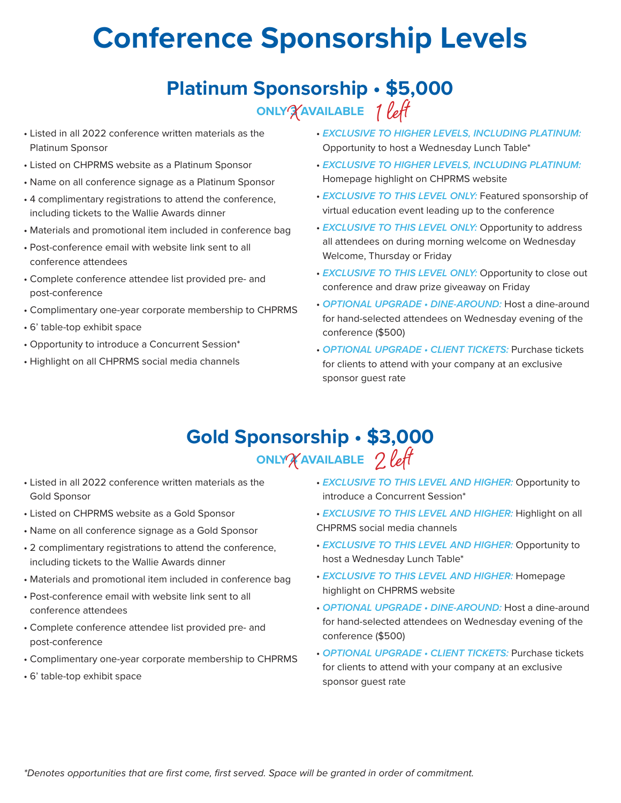# **Conference Sponsorship Levels**

## **Platinum Sponsorship • \$5,000 ONLY 3 AVAILABLE** X 1 left

- Listed in all 2022 conference written materials as the Platinum Sponsor
- Listed on CHPRMS website as a Platinum Sponsor
- Name on all conference signage as a Platinum Sponsor
- 4 complimentary registrations to attend the conference, including tickets to the Wallie Awards dinner
- Materials and promotional item included in conference bag
- Post-conference email with website link sent to all conference attendees
- Complete conference attendee list provided pre- and post-conference
- Complimentary one-year corporate membership to CHPRMS
- 6' table-top exhibit space
- Opportunity to introduce a Concurrent Session\*
- Highlight on all CHPRMS social media channels
- *EXCLUSIVE TO HIGHER LEVELS, INCLUDING PLATINUM:*  Opportunity to host a Wednesday Lunch Table\*
- *EXCLUSIVE TO HIGHER LEVELS, INCLUDING PLATINUM:*  Homepage highlight on CHPRMS website
- *EXCLUSIVE TO THIS LEVEL ONLY:* Featured sponsorship of virtual education event leading up to the conference
- *EXCLUSIVE TO THIS LEVEL ONLY:* Opportunity to address all attendees on during morning welcome on Wednesday Welcome, Thursday or Friday
- *EXCLUSIVE TO THIS LEVEL ONLY:* Opportunity to close out conference and draw prize giveaway on Friday
- *OPTIONAL UPGRADE DINE-AROUND:* Host a dine-around for hand-selected attendees on Wednesday evening of the conference (\$500)
- *OPTIONAL UPGRADE CLIENT TICKETS:* Purchase tickets for clients to attend with your company at an exclusive sponsor guest rate

### **Gold Sponsorship • \$3,000 ONLY 4 AVAILABLE**  $\chi$ AVAILABLE  $2$  left

- Listed in all 2022 conference written materials as the Gold Sponsor
- Listed on CHPRMS website as a Gold Sponsor
- Name on all conference signage as a Gold Sponsor
- 2 complimentary registrations to attend the conference, including tickets to the Wallie Awards dinner
- Materials and promotional item included in conference bag
- Post-conference email with website link sent to all conference attendees
- Complete conference attendee list provided pre- and post-conference
- Complimentary one-year corporate membership to CHPRMS
- 6' table-top exhibit space
- *EXCLUSIVE TO THIS LEVEL AND HIGHER:* Opportunity to introduce a Concurrent Session\*
- *EXCLUSIVE TO THIS LEVEL AND HIGHER:* Highlight on all CHPRMS social media channels
- *EXCLUSIVE TO THIS LEVEL AND HIGHER:* Opportunity to host a Wednesday Lunch Table\*
- *EXCLUSIVE TO THIS LEVEL AND HIGHER:* Homepage highlight on CHPRMS website
- *OPTIONAL UPGRADE DINE-AROUND:* Host a dine-around for hand-selected attendees on Wednesday evening of the conference (\$500)
- *OPTIONAL UPGRADE CLIENT TICKETS:* Purchase tickets for clients to attend with your company at an exclusive sponsor guest rate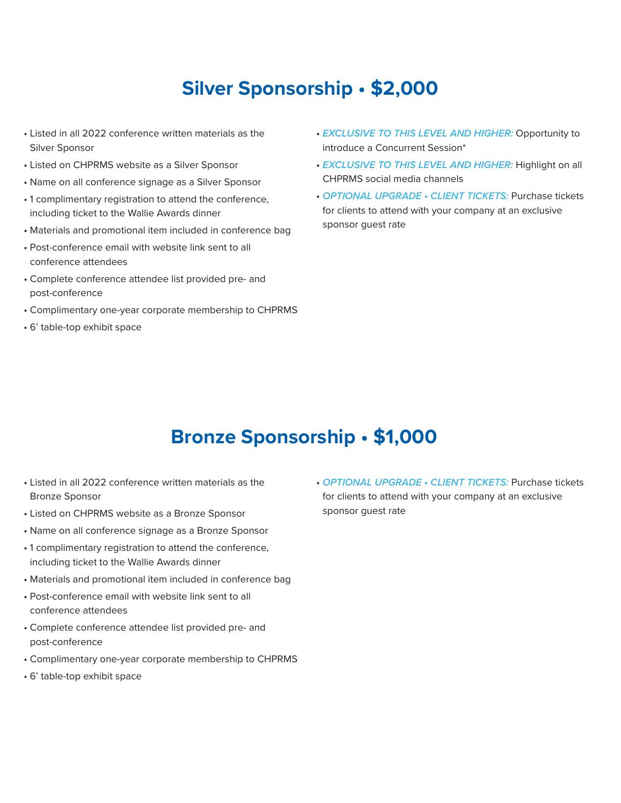## **Silver Sponsorship • \$2,000**

- Listed in all 2022 conference written materials as the Silver Sponsor
- Listed on CHPRMS website as a Silver Sponsor
- Name on all conference signage as a Silver Sponsor
- 1 complimentary registration to attend the conference, including ticket to the Wallie Awards dinner
- Materials and promotional item included in conference bag
- Post-conference email with website link sent to all conference attendees
- Complete conference attendee list provided pre- and post-conference
- Complimentary one-year corporate membership to CHPRMS
- 6' table-top exhibit space
- *EXCLUSIVE TO THIS LEVEL AND HIGHER:* Opportunity to introduce a Concurrent Session\*
- *EXCLUSIVE TO THIS LEVEL AND HIGHER:* Highlight on all CHPRMS social media channels
- *OPTIONAL UPGRADE CLIENT TICKETS:* Purchase tickets for clients to attend with your company at an exclusive sponsor guest rate

## **Bronze Sponsorship • \$1,000**

- Listed in all 2022 conference written materials as the Bronze Sponsor
- Listed on CHPRMS website as a Bronze Sponsor
- Name on all conference signage as a Bronze Sponsor
- 1 complimentary registration to attend the conference, including ticket to the Wallie Awards dinner
- Materials and promotional item included in conference bag
- Post-conference email with website link sent to all conference attendees
- Complete conference attendee list provided pre- and post-conference
- Complimentary one-year corporate membership to CHPRMS
- 6' table-top exhibit space

• *OPTIONAL UPGRADE • CLIENT TICKETS:* Purchase tickets for clients to attend with your company at an exclusive sponsor guest rate